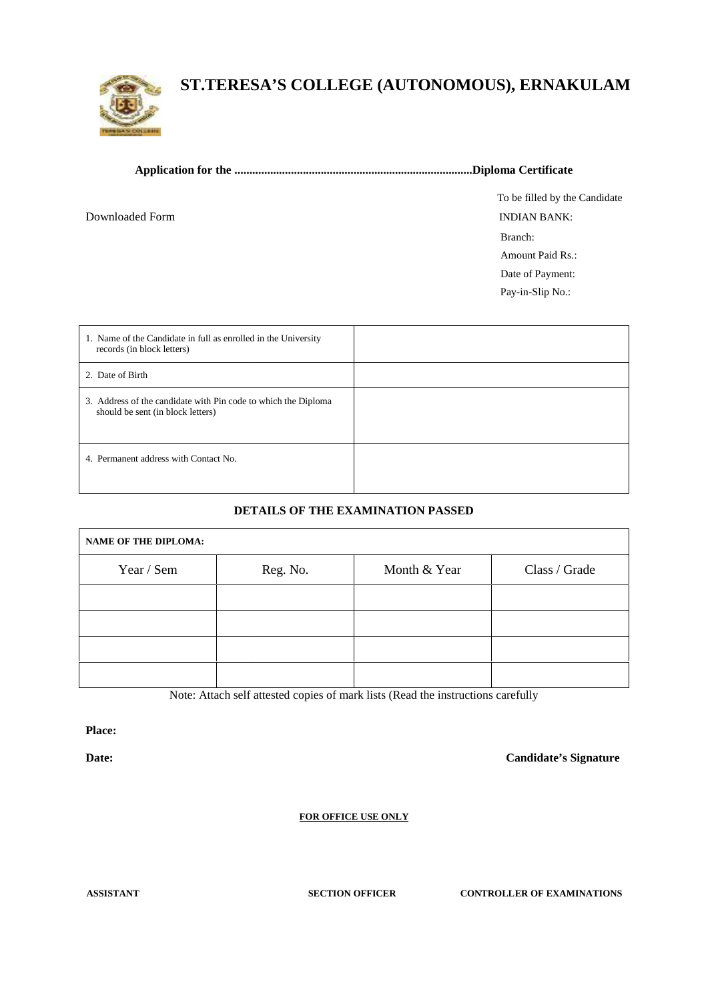

## **ST.TERESA'S COLLEGE (AUTONOMOUS), ERNAKULAM ST.TERESA'S COLLEGE ,**

Downloaded Form

To be filled by the Candidate Branch: Amount Paid Rs.: Date of Payment: Pay-in-Slip No.: INDIAN BANK:

| 1. Name of the Candidate in full as enrolled in the University<br>records (in block letters)        |  |
|-----------------------------------------------------------------------------------------------------|--|
| 2. Date of Birth                                                                                    |  |
| 3. Address of the candidate with Pin code to which the Diploma<br>should be sent (in block letters) |  |
| 4. Permanent address with Contact No.                                                               |  |

## **DETAILS OF THE EXAMINATION PASSED**

| 3. Address of the candidate with Pin code to which the Diploma<br>should be sent (in block letters) |          |                                                                                  |                              |
|-----------------------------------------------------------------------------------------------------|----------|----------------------------------------------------------------------------------|------------------------------|
| 4. Permanent address with Contact No.                                                               |          |                                                                                  |                              |
|                                                                                                     |          | DETAILS OF THE EXAMINATION PASSED                                                |                              |
| <b>NAME OF THE DIPLOMA:</b>                                                                         |          |                                                                                  |                              |
| Year / Sem                                                                                          | Reg. No. | Month & Year                                                                     | Class / Grade                |
|                                                                                                     |          |                                                                                  |                              |
|                                                                                                     |          |                                                                                  |                              |
|                                                                                                     |          |                                                                                  |                              |
|                                                                                                     |          |                                                                                  |                              |
|                                                                                                     |          | Note: Attach self attested copies of mark lists (Read the instructions carefully |                              |
| Place:                                                                                              |          |                                                                                  |                              |
| Date:                                                                                               |          |                                                                                  | <b>Candidate's Signature</b> |
|                                                                                                     |          |                                                                                  |                              |
|                                                                                                     |          | <b>FOR OFFICE USE ONLY</b>                                                       |                              |

## **FOR OFFICE USE ONLY**

**ASSISTANT SECTION OFFICER CONTROLLER OF EXAMINATIONS**